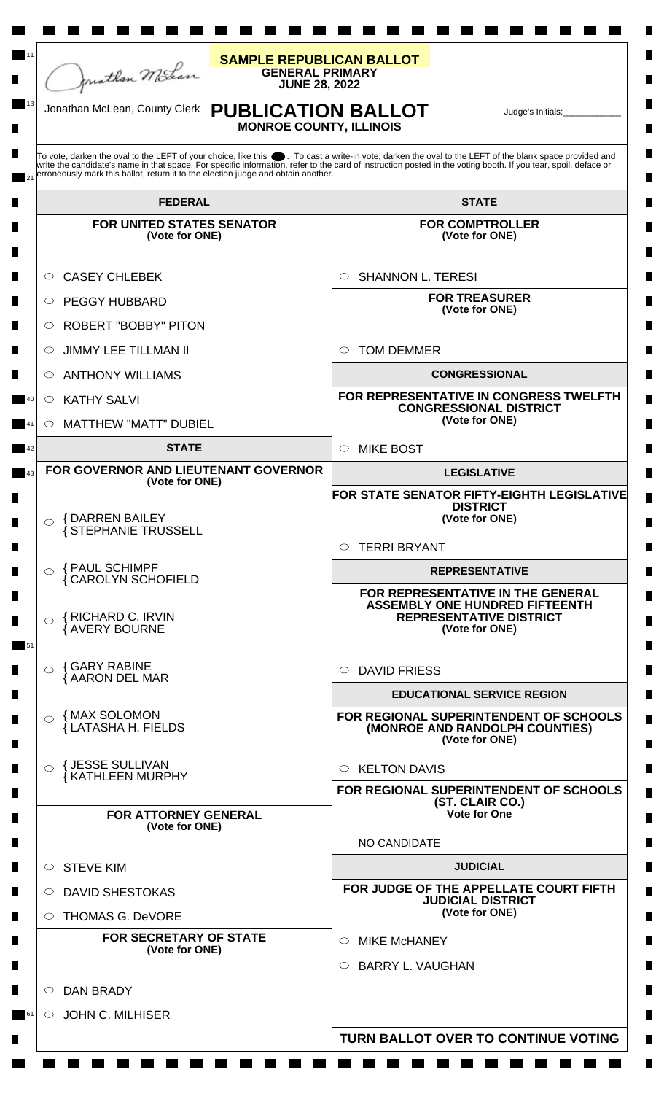

**Links** 

a de la propiedad de la propiedad de la propiedad de la propiedad de la propiedad de la propiedad de la propie<br>De la propiedad de la propiedad de la propiedad de la propiedad de la propiedad de la propiedad de la propieda

a di kacamatan ing Kabupatèn Kabupatèn Kabu

## **GENERAL PRIMARY JUNE 28, 2022 SAMPLE REPUBLICAN BALLOT**

**The Film** 

**Contract** 

<u> Tanzania de la pro</u>

ш

13

**Contract** 

 $\blacksquare$ 

## **PUBLICATION BALLOT MONROE COUNTY, ILLINOIS** Jonathan McLean, County Clerk Judge's Initials:\_\_\_\_\_\_\_\_\_\_\_\_

П

 $\blacksquare$ 

 $\blacksquare$ 

 $\blacksquare$ 

 $\blacksquare$ 

 $\blacksquare$ 

 $\blacksquare$ 

**Contract Contract** 

m.

To vote, darken the oval to the LEFT of your choice, like this ● . To cast a write-in vote, darken the oval to the LEFT of the blank space provided and<br>write the candidate's name in that space. For specific information, r erroneously mark this ballot, return it to the election judge and obtain another. 21

| <b>FEDERAL</b>                                                                    | <b>STATE</b>                                                                                                                    |
|-----------------------------------------------------------------------------------|---------------------------------------------------------------------------------------------------------------------------------|
| <b>FOR UNITED STATES SENATOR</b><br>(Vote for ONE)                                | <b>FOR COMPTROLLER</b><br>(Vote for ONE)                                                                                        |
| <b>CASEY CHLEBEK</b><br>$\bigcirc$ .                                              | <b>SHANNON L. TERESI</b><br>$\circ$                                                                                             |
| O PEGGY HUBBARD                                                                   | <b>FOR TREASURER</b><br>(Vote for ONE)                                                                                          |
| $\circ$ ROBERT "BOBBY" PITON                                                      |                                                                                                                                 |
| $\circ$ JIMMY LEE TILLMAN II                                                      | <b>TOM DEMMER</b><br>$\circ$                                                                                                    |
| $\circ$ ANTHONY WILLIAMS                                                          | <b>CONGRESSIONAL</b>                                                                                                            |
| $\circ$ KATHY SALVI<br>40                                                         | FOR REPRESENTATIVE IN CONGRESS TWELFTH<br><b>CONGRESSIONAL DISTRICT</b>                                                         |
| $\circ$ MATTHEW "MATT" DUBIEL<br>41                                               | (Vote for ONE)                                                                                                                  |
| <b>STATE</b><br>42                                                                | <b>MIKE BOST</b><br>$\bigcirc$                                                                                                  |
| FOR GOVERNOR AND LIEUTENANT GOVERNOR<br>43<br>(Vote for ONE)                      | <b>LEGISLATIVE</b>                                                                                                              |
| <b>{DARREN BAILEY</b><br>$\bigcirc$<br>∫ STEPHANIE TRUSSELL                       | FOR STATE SENATOR FIFTY-EIGHTH LEGISLATIVE<br><b>DISTRICT</b><br>(Vote for ONE)<br><b>TERRI BRYANT</b><br>$\bigcirc$            |
| <b>{ PAUL SCHIMPF</b><br>$\bigcap$                                                | <b>REPRESENTATIVE</b>                                                                                                           |
| <b>CAROLYN SCHOFIELD</b><br>{RICHARD C. IRVIN<br>$\bigcirc$<br>AVERY BOURNE<br>51 | FOR REPRESENTATIVE IN THE GENERAL<br><b>ASSEMBLY ONE HUNDRED FIFTEENTH</b><br><b>REPRESENTATIVE DISTRICT</b><br>(Vote for ONE)  |
| $\circ$ { GARY RABINE<br>{ AARON DEL MAR                                          | $\circ$ DAVID FRIESS                                                                                                            |
| { MAX SOLOMON<br>⌒<br>LATASHA H. FIELDS                                           | <b>EDUCATIONAL SERVICE REGION</b><br>FOR REGIONAL SUPERINTENDENT OF SCHOOLS<br>(MONROE AND RANDOLPH COUNTIES)<br>(Vote for ONE) |
| <b>{ JESSE SULLIVAN</b><br>KATHLEEN MURPHY                                        | <b>KELTON DAVIS</b><br>◯                                                                                                        |
| <b>FOR ATTORNEY GENERAL</b><br>(Vote for ONE)                                     | FOR REGIONAL SUPERINTENDENT OF SCHOOLS<br>(ST. CLAIR CO.)<br><b>Vote for One</b>                                                |
|                                                                                   | NO CANDIDATE                                                                                                                    |
| $\circ$ STEVE KIM                                                                 | <b>JUDICIAL</b>                                                                                                                 |
| O DAVID SHESTOKAS                                                                 | FOR JUDGE OF THE APPELLATE COURT FIFTH<br><b>JUDICIAL DISTRICT</b>                                                              |
| ◯ THOMAS G. DeVORE                                                                | (Vote for ONE)                                                                                                                  |
| <b>FOR SECRETARY OF STATE</b><br>(Vote for ONE)                                   | <b>MIKE McHANEY</b><br>$\circ$<br>$\circ$ BARRY L. VAUGHAN                                                                      |
| <b>DAN BRADY</b><br>◯                                                             |                                                                                                                                 |
| $\circ$ JOHN C. MILHISER<br>61                                                    |                                                                                                                                 |
|                                                                                   | TURN BALLOT OVER TO CONTINUE VOTING                                                                                             |
|                                                                                   |                                                                                                                                 |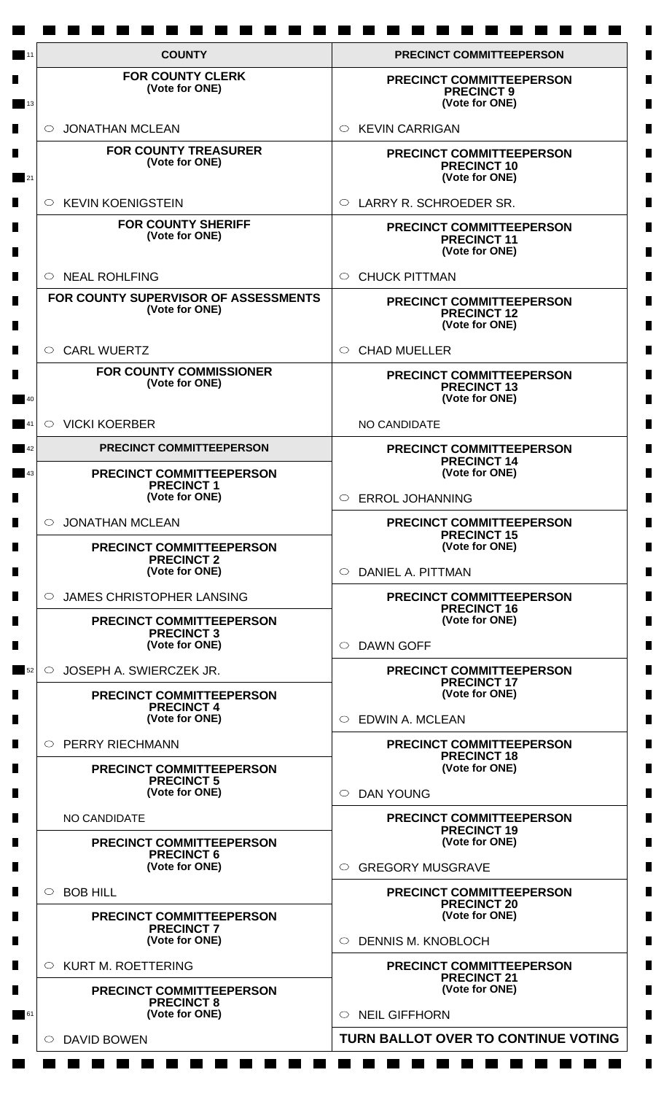| <b>PRECINCT COMMITTEEPERSON</b><br><b>PRECINCT 9</b><br>(Vote for ONE)<br><b>KEVIN CARRIGAN</b><br>$\circ$<br><b>PRECINCT COMMITTEEPERSON</b><br><b>PRECINCT 10</b><br>(Vote for ONE)<br>LARRY R. SCHROEDER SR.<br>$\bigcirc$<br>PRECINCT COMMITTEEPERSON<br><b>PRECINCT 11</b> |
|---------------------------------------------------------------------------------------------------------------------------------------------------------------------------------------------------------------------------------------------------------------------------------|
|                                                                                                                                                                                                                                                                                 |
|                                                                                                                                                                                                                                                                                 |
|                                                                                                                                                                                                                                                                                 |
|                                                                                                                                                                                                                                                                                 |
| (Vote for ONE)                                                                                                                                                                                                                                                                  |
| <b>CHUCK PITTMAN</b><br>$\circ$                                                                                                                                                                                                                                                 |
| PRECINCT COMMITTEEPERSON<br><b>PRECINCT 12</b><br>(Vote for ONE)                                                                                                                                                                                                                |
| <b>CHAD MUELLER</b><br>$\circ$                                                                                                                                                                                                                                                  |
| <b>PRECINCT COMMITTEEPERSON</b><br><b>PRECINCT 13</b><br>(Vote for ONE)                                                                                                                                                                                                         |
| NO CANDIDATE                                                                                                                                                                                                                                                                    |
| PRECINCT COMMITTEEPERSON<br><b>PRECINCT 14</b>                                                                                                                                                                                                                                  |
| (Vote for ONE)                                                                                                                                                                                                                                                                  |
| <b>ERROL JOHANNING</b><br>$\bigcirc$                                                                                                                                                                                                                                            |
| <b>PRECINCT COMMITTEEPERSON</b><br><b>PRECINCT 15</b>                                                                                                                                                                                                                           |
| (Vote for ONE)<br>DANIEL A. PITTMAN<br>$\circ$                                                                                                                                                                                                                                  |
| PRECINCT COMMITTEEPERSON                                                                                                                                                                                                                                                        |
| <b>PRECINCT 16</b><br>(Vote for ONE)                                                                                                                                                                                                                                            |
| <b>DAWN GOFF</b><br>$\circ$                                                                                                                                                                                                                                                     |
| PRECINCT COMMITTEEPERSON<br><b>PRECINCT 17</b>                                                                                                                                                                                                                                  |
| (Vote for ONE)                                                                                                                                                                                                                                                                  |
| <b>EDWIN A. MCLEAN</b><br>$\bigcirc$                                                                                                                                                                                                                                            |
| <b>PRECINCT COMMITTEEPERSON</b><br><b>PRECINCT 18</b>                                                                                                                                                                                                                           |
| (Vote for ONE)<br><b>DAN YOUNG</b><br>$\circ$                                                                                                                                                                                                                                   |
| PRECINCT COMMITTEEPERSON                                                                                                                                                                                                                                                        |
| <b>PRECINCT 19</b><br>(Vote for ONE)                                                                                                                                                                                                                                            |
| <b>GREGORY MUSGRAVE</b><br>$\bigcirc$                                                                                                                                                                                                                                           |
| PRECINCT COMMITTEEPERSON                                                                                                                                                                                                                                                        |
| <b>PRECINCT 20</b><br>(Vote for ONE)                                                                                                                                                                                                                                            |
| <b>DENNIS M. KNOBLOCH</b><br>$\circ$                                                                                                                                                                                                                                            |
| PRECINCT COMMITTEEPERSON<br><b>PRECINCT 21</b>                                                                                                                                                                                                                                  |
| (Vote for ONE)                                                                                                                                                                                                                                                                  |
| <b>NEIL GIFFHORN</b>                                                                                                                                                                                                                                                            |
| TURN BALLOT OVER TO CONTINUE VOTING                                                                                                                                                                                                                                             |